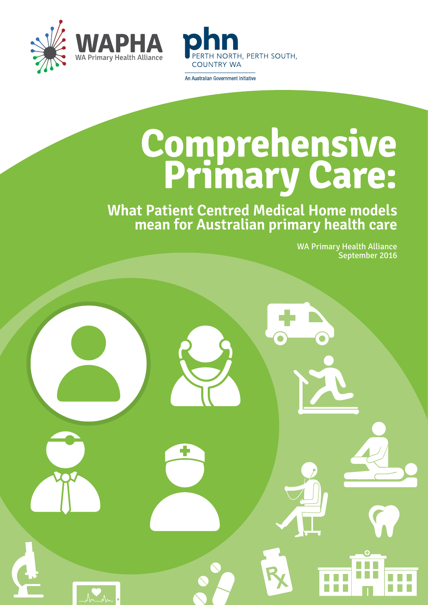



An Australian Government Initiative

## **Comprehensive Primary Care:**

**What Patient Centred Medical Home models mean for Australian primary health care**

> WA Primary Health Alliance September 2016

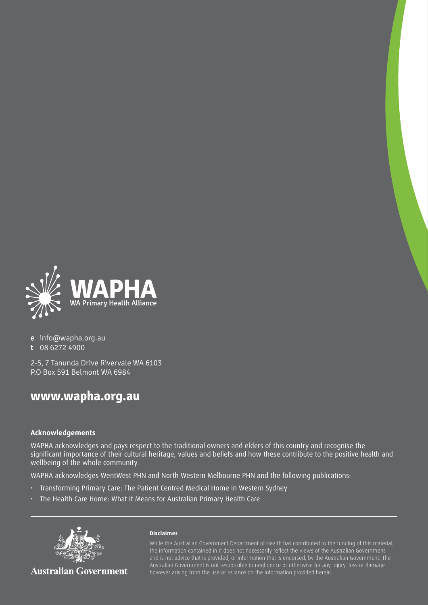

**e** [info@wapha.org.au](mailto:info@wapha.org.au)

**t** [08 6272 4900](tel:08%206272%204900)

[2-5, 7 Tanunda Drive Rivervale WA 6103](https://goo.gl/maps/Sqfq1z6eWk82) P.O Box 591 Belmont WA 6984

#### **www.wapha.org.au**

#### **Acknowledgements**

WAPHA acknowledges and pays respect to the traditional owners and elders of this country and recognise the significant importance of their cultural heritage, values and beliefs and how these contribute to the positive health and wellbeing of the whole community.

WAPHA acknowledges WentWest PHN and North Western Melbourne PHN and the following publications:

- Transforming Primary Care: The Patient Centred Medical Home in Western Sydney
- The Health Care Home: What it Means for Australian Primary Health Care



**Australian Government** 

#### **Disclaimer**

While the Australian Government Department of Health has contributed to the funding of this material, Australian Government is not responsible in negligence or otherwise for any injury, loss or damage however arising from the use or reliance on the information provided herein.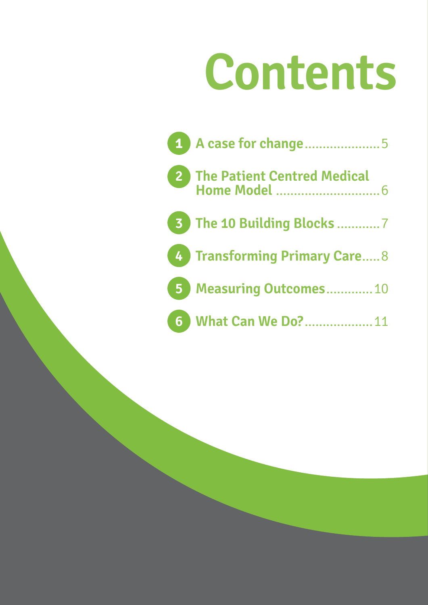## **Contents**

| 4 A case for change5         |
|------------------------------|
|                              |
| 3 The 10 Building Blocks 7   |
| 4 Transforming Primary Care8 |
| 5 Measuring Outcomes10       |
| 6 What Can We Do?11          |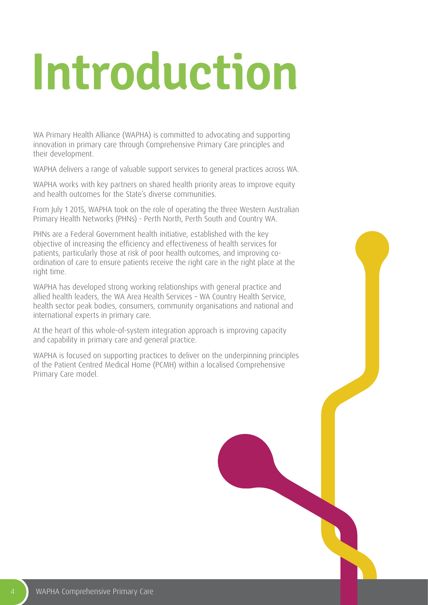# **Introduction**

WA Primary Health Alliance (WAPHA) is committed to advocating and supporting innovation in primary care through Comprehensive Primary Care principles and their development.

WAPHA delivers a range of valuable support services to general practices across WA.

WAPHA works with key partners on shared health priority areas to improve equity and health outcomes for the State's diverse communities.

From July 1 2015, WAPHA took on the role of operating the three Western Australian Primary Health Networks (PHNs) - Perth North, Perth South and Country WA.

PHNs are a Federal Government health initiative, established with the key objective of increasing the efficiency and effectiveness of health services for patients, particularly those at risk of poor health outcomes, and improving coordination of care to ensure patients receive the right care in the right place at the right time.

WAPHA has developed strong working relationships with general practice and allied health leaders, the WA Area Health Services – WA Country Health Service, health sector peak bodies, consumers, community organisations and national and international experts in primary care.

At the heart of this whole-of-system integration approach is improving capacity and capability in primary care and general practice.

WAPHA is focused on supporting practices to deliver on the underpinning principles of the Patient Centred Medical Home (PCMH) within a localised Comprehensive Primary Care model.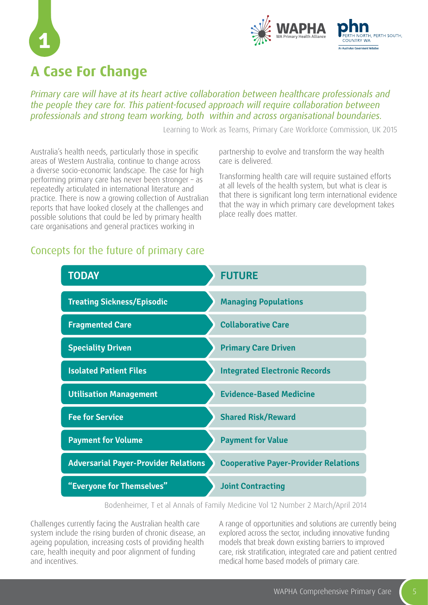



## **A Case For Change**

*Primary care will have at its heart active collaboration between healthcare professionals and the people they care for. This patient-focused approach will require collaboration between professionals and strong team working, both within and across organisational boundaries.*

Learning to Work as Teams, Primary Care Workforce Commission, UK 2015

Australia's health needs, particularly those in specific areas of Western Australia, continue to change across a diverse socio-economic landscape. The case for high performing primary care has never been stronger – as repeatedly articulated in international literature and practice. There is now a growing collection of Australian reports that have looked closely at the challenges and possible solutions that could be led by primary health care organisations and general practices working in

partnership to evolve and transform the way health care is delivered.

Transforming health care will require sustained efforts at all levels of the health system, but what is clear is that there is significant long term international evidence that the way in which primary care development takes place really does matter.

#### Concepts for the future of primary care

| <b>TODAY</b>                                | <b>FUTURE</b>                               |
|---------------------------------------------|---------------------------------------------|
| <b>Treating Sickness/Episodic</b>           | <b>Managing Populations</b>                 |
| <b>Fragmented Care</b>                      | <b>Collaborative Care</b>                   |
| <b>Speciality Driven</b>                    | <b>Primary Care Driven</b>                  |
| <b>Isolated Patient Files</b>               | <b>Integrated Electronic Records</b>        |
| <b>Utilisation Management</b>               | <b>Evidence-Based Medicine</b>              |
| <b>Fee for Service</b>                      | <b>Shared Risk/Reward</b>                   |
| <b>Payment for Volume</b>                   | <b>Payment for Value</b>                    |
| <b>Adversarial Payer-Provider Relations</b> | <b>Cooperative Payer-Provider Relations</b> |
| "Everyone for Themselves"                   | <b>Joint Contracting</b>                    |

Bodenheimer, T et al Annals of Family Medicine Vol 12 Number 2 March/April 2014

Challenges currently facing the Australian health care system include the rising burden of chronic disease, an ageing population, increasing costs of providing health care, health inequity and poor alignment of funding and incentives.

A range of opportunities and solutions are currently being explored across the sector, including innovative funding models that break down existing barriers to improved care, risk stratification, integrated care and patient centred medical home based models of primary care.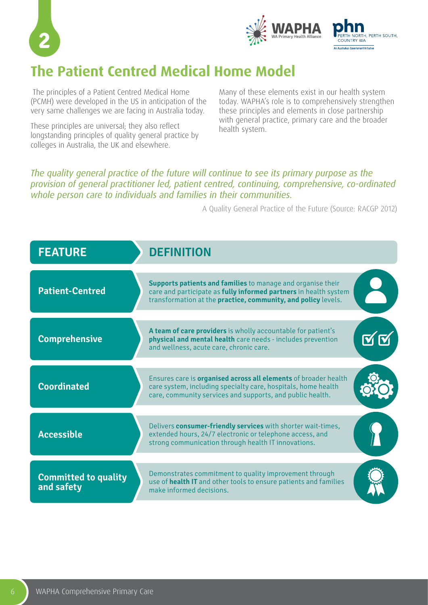



## **The Patient Centred Medical Home Model**

 The principles of a Patient Centred Medical Home (PCMH) were developed in the US in anticipation of the very same challenges we are facing in Australia today.

These principles are universal; they also reflect longstanding principles of quality general practice by colleges in Australia, the UK and elsewhere.

Many of these elements exist in our health system today. WAPHA's role is to comprehensively strengthen these principles and elements in close partnership with general practice, primary care and the broader health system.

#### *The quality general practice of the future will continue to see its primary purpose as the provision of general practitioner led, patient centred, continuing, comprehensive, co-ordinated whole person care to individuals and families in their communities.*

A Quality General Practice of the Future (Source: RACGP 2012)

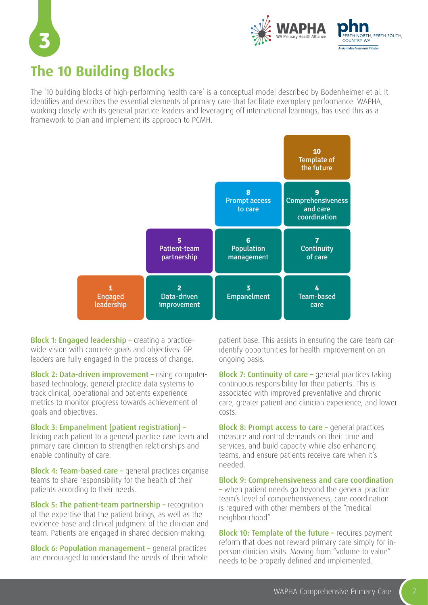



## **The 10 Building Blocks**

The '10 building blocks of high-performing health care' is a conceptual model described by Bodenheimer et al. It identifies and describes the essential elements of primary care that facilitate exemplary performance. WAPHA, working closely with its general practice leaders and leveraging off international learnings, has used this as a framework to plan and implement its approach to PCMH.



Block 1: Engaged leadership – creating a practicewide vision with concrete goals and objectives. GP leaders are fully engaged in the process of change.

Block 2: Data-driven improvement – using computerbased technology, general practice data systems to track clinical, operational and patients experience metrics to monitor progress towards achievement of goals and objectives.

#### Block 3: Empanelment [patient registration] –

linking each patient to a general practice care team and primary care clinician to strengthen relationships and enable continuity of care.

Block 4: Team-based care – general practices organise teams to share responsibility for the health of their patients according to their needs.

Block 5: The patient-team partnership – recognition of the expertise that the patient brings, as well as the evidence base and clinical judgment of the clinician and team. Patients are engaged in shared decision-making.

Block 6: Population management – general practices are encouraged to understand the needs of their whole

patient base. This assists in ensuring the care team can identify opportunities for health improvement on an ongoing basis.

Block 7: Continuity of care - general practices taking continuous responsibility for their patients. This is associated with improved preventative and chronic care, greater patient and clinician experience, and lower costs.

Block 8: Prompt access to care – general practices measure and control demands on their time and services, and build capacity while also enhancing teams, and ensure patients receive care when it's needed.

Block 9: Comprehensiveness and care coordination – when patient needs go beyond the general practice team's level of comprehensiveness, care coordination is required with other members of the "medical neighbourhood".

Block 10: Template of the future - requires payment reform that does not reward primary care simply for inperson clinician visits. Moving from "volume to value" needs to be properly defined and implemented.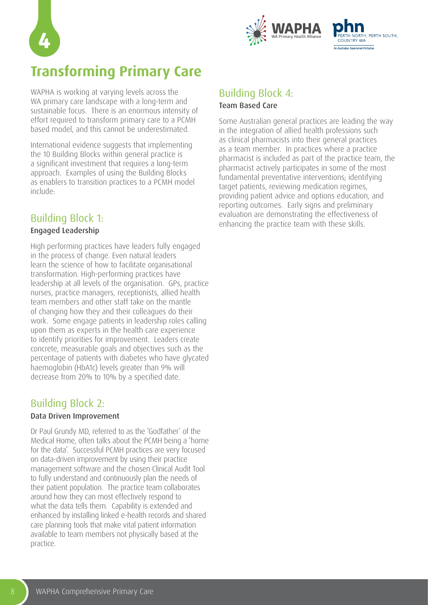



## **Transforming Primary Care**

WAPHA is working at varying levels across the WA primary care landscape with a long-term and sustainable focus. There is an enormous intensity of effort required to transform primary care to a PCMH based model, and this cannot be underestimated.

International evidence suggests that implementing the 10 Building Blocks within general practice is a significant investment that requires a long-term approach. Examples of using the Building Blocks as enablers to transition practices to a PCMH model include:

#### Building Block 1:

#### Engaged Leadership

High performing practices have leaders fully engaged in the process of change. Even natural leaders learn the science of how to facilitate organisational transformation. High-performing practices have leadership at all levels of the organisation. GPs, practice nurses, practice managers, receptionists, allied health team members and other staff take on the mantle of changing how they and their colleagues do their work. Some engage patients in leadership roles calling upon them as experts in the health care experience to identify priorities for improvement. Leaders create concrete, measurable goals and objectives such as the percentage of patients with diabetes who have glycated haemoglobin (HbA1c) levels greater than 9% will decrease from 20% to 10% by a specified date.

#### Building Block 2:

#### Data Driven Improvement

Dr Paul Grundy MD, referred to as the 'Godfather' of the Medical Home, often talks about the PCMH being a 'home for the data'. Successful PCMH practices are very focused on data-driven improvement by using their practice management software and the chosen Clinical Audit Tool to fully understand and continuously plan the needs of their patient population. The practice team collaborates around how they can most effectively respond to what the data tells them. Capability is extended and enhanced by installing linked e-health records and shared care planning tools that make vital patient information available to team members not physically based at the practice.

#### Building Block 4: Team Based Care

Some Australian general practices are leading the way in the integration of allied health professions such as clinical pharmacists into their general practices as a team member. In practices where a practice pharmacist is included as part of the practice team, the pharmacist actively participates in some of the most fundamental preventative interventions; identifying target patients, reviewing medication regimes, providing patient advice and options education, and reporting outcomes. Early signs and preliminary evaluation are demonstrating the effectiveness of enhancing the practice team with these skills.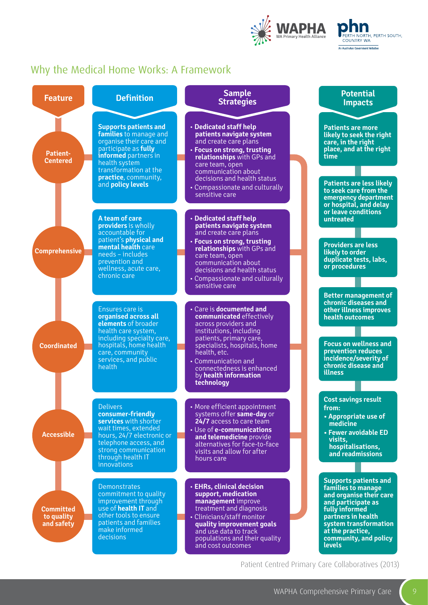

#### **ERTH NORTH, PERTH SOUTH.** COUNTRY WA An Australian Government Initiative

#### Why the Medical Home Works: A Framework

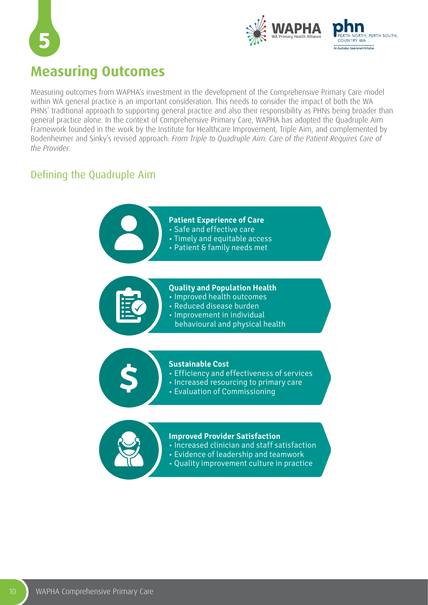



### **Measuring Outcomes**

Measuring outcomes from WAPHA's investment in the development of the Comprehensive Primary Care model within WA general practice is an important consideration. This needs to consider the impact of both the WA PHNs' traditional approach to supporting general practice and also their responsibility as PHNs being broader than general practice alone. In the context of Comprehensive Primary Care, WAPHA has adopted the Quadruple Aim Framework founded in the work by the Institute for Healthcare Improvement, Triple Aim, and complemented by Bodenheimer and Sinky's revised approach: *From Triple to Quadruple Aim: Care of the Patient Requires Care of the Provider.*

#### Defining the Quadruple Aim



- Increased clinician and staff satisfaction
- Evidence of leadership and teamwork
- Quality improvement culture in practice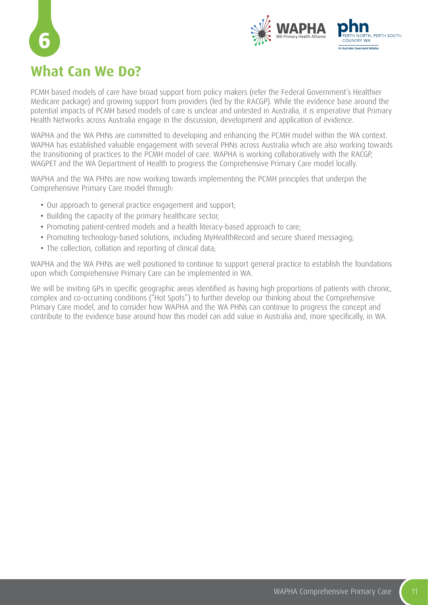

## **What Can We Do?**

**6**

PCMH based models of care have broad support from policy makers (refer the Federal Government's Healthier Medicare package) and growing support from providers (led by the RACGP). While the evidence base around the potential impacts of PCMH based models of care is unclear and untested in Australia, it is imperative that Primary Health Networks across Australia engage in the discussion, development and application of evidence.

WAPHA and the WA PHNs are committed to developing and enhancing the PCMH model within the WA context. WAPHA has established valuable engagement with several PHNs across Australia which are also working towards the transitioning of practices to the PCMH model of care. WAPHA is working collaboratively with the RACGP, WAGPET and the WA Department of Health to progress the Comprehensive Primary Care model locally.

WAPHA and the WA PHNs are now working towards implementing the PCMH principles that underpin the Comprehensive Primary Care model through:

- Our approach to general practice engagement and support;
- Building the capacity of the primary healthcare sector;
- Promoting patient-centred models and a health literacy-based approach to care;
- Promoting technology-based solutions, including MyHealthRecord and secure shared messaging;
- The collection, collation and reporting of clinical data;

WAPHA and the WA PHNs are well positioned to continue to support general practice to establish the foundations upon which Comprehensive Primary Care can be implemented in WA.

We will be inviting GPs in specific geographic areas identified as having high proportions of patients with chronic, complex and co-occurring conditions ("Hot Spots") to further develop our thinking about the Comprehensive Primary Care model, and to consider how WAPHA and the WA PHNs can continue to progress the concept and contribute to the evidence base around how this model can add value in Australia and, more specifically, in WA.